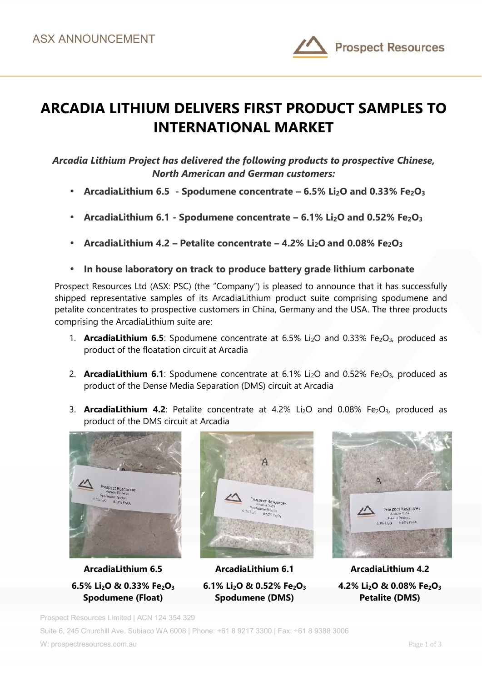

# **ARCADIA LITHIUM DELIVERS FIRST PRODUCT SAMPLES TO INTERNATIONAL MARKET**

### *Arcadia Lithium Project has delivered the following products to prospective Chinese, North American and German customers:*

- **ArcadiaLithium 6.5 - Spodumene concentrate – 6.5% Li2O and 0.33% Fe2O<sup>3</sup>**
- **ArcadiaLithium 6.1 - Spodumene concentrate – 6.1% Li2O and 0.52% Fe2O<sup>3</sup>**
- **ArcadiaLithium 4.2 – Petalite concentrate – 4.2% Li2O and 0.08% Fe2O<sup>3</sup>**
- **In house laboratory on track to produce battery grade lithium carbonate**

Prospect Resources Ltd (ASX: PSC) (the "Company") is pleased to announce that it has successfully shipped representative samples of its ArcadiaLithium product suite comprising spodumene and petalite concentrates to prospective customers in China, Germany and the USA. The three products comprising the ArcadiaLithium suite are:

- 1. **ArcadiaLithium 6.5**: Spodumene concentrate at 6.5% Li<sub>2</sub>O and 0.33% Fe<sub>2</sub>O<sub>3</sub>, produced as product of the floatation circuit at Arcadia
- 2. **ArcadiaLithium 6.1**: Spodumene concentrate at 6.1% Li<sub>2</sub>O and 0.52% Fe<sub>2</sub>O<sub>3</sub>, produced as product of the Dense Media Separation (DMS) circuit at Arcadia
- 3. **ArcadiaLithium 4.2**: Petalite concentrate at 4.2% Li<sub>2</sub>O and 0.08% Fe<sub>2</sub>O<sub>3</sub>, produced as product of the DMS circuit at Arcadia



**ArcadiaLithium 6.5 6.5% Li2O & 0.33% Fe2O<sup>3</sup> Spodumene (Float)**



**ArcadiaLithium 6.1 6.1% Li2O & 0.52% Fe2O<sup>3</sup> Spodumene (DMS)**



**ArcadiaLithium 4.2 4.2% Li2O & 0.08% Fe2O<sup>3</sup> Petalite (DMS)**

Prospect Resources Limited | ACN 124 354 329

Suite 6, 245 Churchill Ave. Subiaco WA 6008 | Phone: +61 8 9217 3300 | Fax: +61 8 9388 3006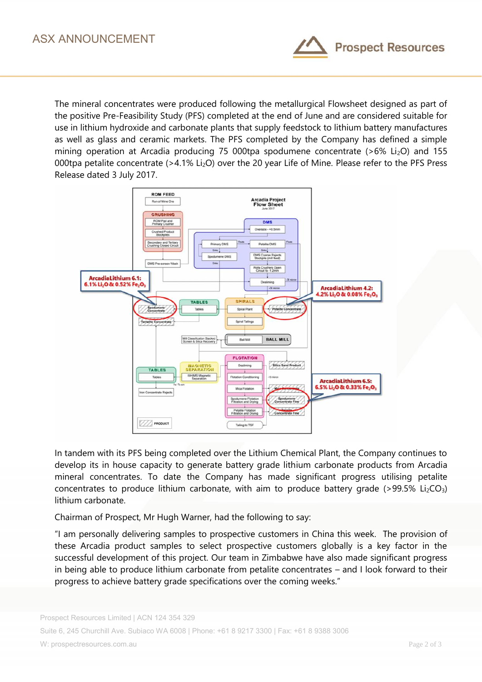

The mineral concentrates were produced following the metallurgical Flowsheet designed as part of the positive Pre-Feasibility Study (PFS) completed at the end of June and are considered suitable for use in lithium hydroxide and carbonate plants that supply feedstock to lithium battery manufactures as well as glass and ceramic markets. The PFS completed by the Company has defined a simple mining operation at Arcadia producing 75 000tpa spodumene concentrate  $(>6\%$  Li<sub>2</sub>O) and 155 000tpa petalite concentrate (>4.1% Li<sub>2</sub>O) over the 20 year Life of Mine. Please refer to the PFS Press Release dated 3 July 2017.



In tandem with its PFS being completed over the Lithium Chemical Plant, the Company continues to develop its in house capacity to generate battery grade lithium carbonate products from Arcadia mineral concentrates. To date the Company has made significant progress utilising petalite concentrates to produce lithium carbonate, with aim to produce battery grade ( $>99.5\%$  Li<sub>2</sub>CO<sub>3</sub>) lithium carbonate.

Chairman of Prospect, Mr Hugh Warner, had the following to say:

"I am personally delivering samples to prospective customers in China this week. The provision of these Arcadia product samples to select prospective customers globally is a key factor in the successful development of this project. Our team in Zimbabwe have also made significant progress in being able to produce lithium carbonate from petalite concentrates – and I look forward to their progress to achieve battery grade specifications over the coming weeks."